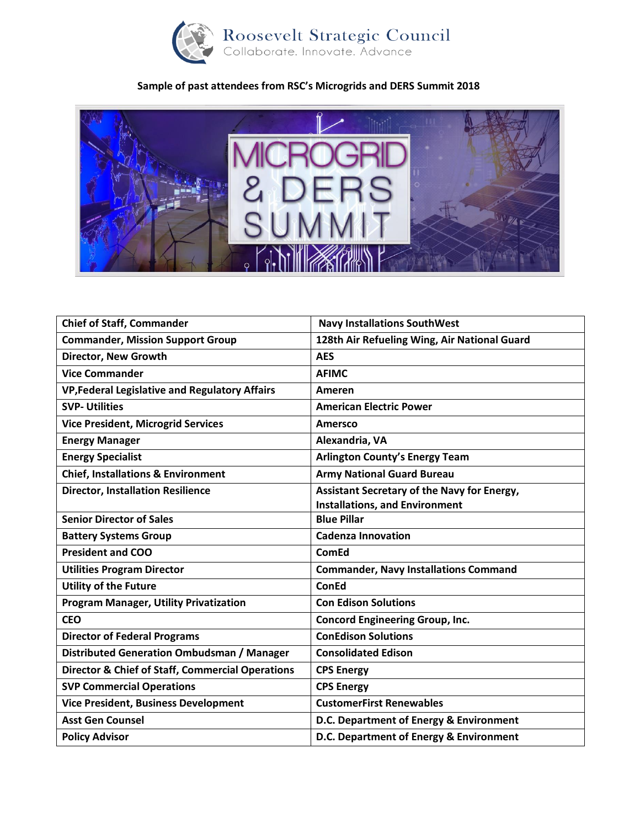

## **Sample of past attendees from RSC's Microgrids and DERS Summit 2018**



| <b>Navy Installations SouthWest</b>          |
|----------------------------------------------|
| 128th Air Refueling Wing, Air National Guard |
| <b>AES</b>                                   |
| <b>AFIMC</b>                                 |
| Ameren                                       |
| <b>American Electric Power</b>               |
| <b>Amersco</b>                               |
| Alexandria, VA                               |
| <b>Arlington County's Energy Team</b>        |
| <b>Army National Guard Bureau</b>            |
| Assistant Secretary of the Navy for Energy,  |
| <b>Installations, and Environment</b>        |
| <b>Blue Pillar</b>                           |
| <b>Cadenza Innovation</b>                    |
| <b>ComEd</b>                                 |
| <b>Commander, Navy Installations Command</b> |
| <b>ConEd</b>                                 |
|                                              |
| <b>Con Edison Solutions</b>                  |
| <b>Concord Engineering Group, Inc.</b>       |
| <b>ConEdison Solutions</b>                   |
| <b>Consolidated Edison</b>                   |
| <b>CPS Energy</b>                            |
| <b>CPS Energy</b>                            |
| <b>CustomerFirst Renewables</b>              |
| D.C. Department of Energy & Environment      |
|                                              |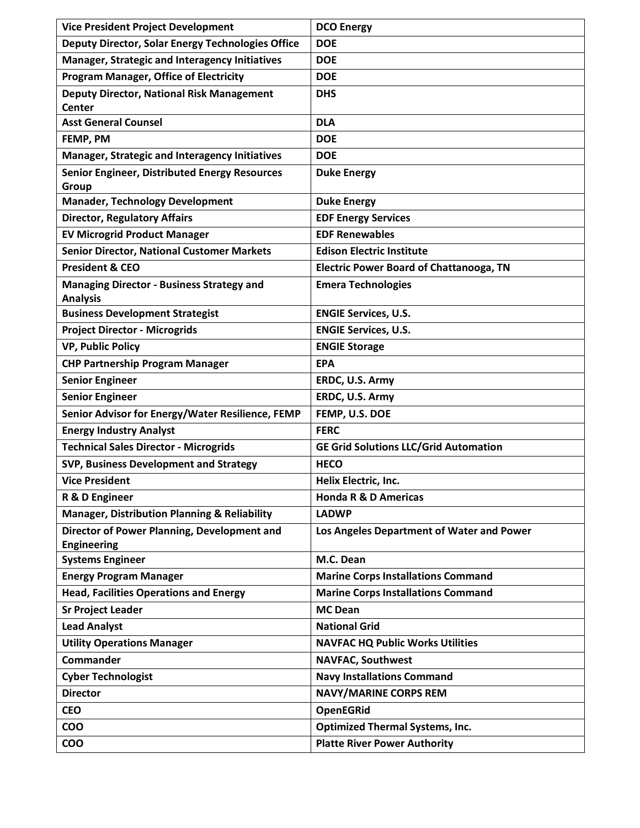| <b>Vice President Project Development</b>                           | <b>DCO Energy</b>                              |
|---------------------------------------------------------------------|------------------------------------------------|
| <b>Deputy Director, Solar Energy Technologies Office</b>            | <b>DOE</b>                                     |
| <b>Manager, Strategic and Interagency Initiatives</b>               | <b>DOE</b>                                     |
| <b>Program Manager, Office of Electricity</b>                       | <b>DOE</b>                                     |
| <b>Deputy Director, National Risk Management</b><br><b>Center</b>   | <b>DHS</b>                                     |
| <b>Asst General Counsel</b>                                         | <b>DLA</b>                                     |
| FEMP, PM                                                            | <b>DOE</b>                                     |
| Manager, Strategic and Interagency Initiatives                      | <b>DOE</b>                                     |
| <b>Senior Engineer, Distributed Energy Resources</b><br>Group       | <b>Duke Energy</b>                             |
| <b>Manader, Technology Development</b>                              | <b>Duke Energy</b>                             |
| <b>Director, Regulatory Affairs</b>                                 | <b>EDF Energy Services</b>                     |
| <b>EV Microgrid Product Manager</b>                                 | <b>EDF Renewables</b>                          |
| <b>Senior Director, National Customer Markets</b>                   | <b>Edison Electric Institute</b>               |
| <b>President &amp; CEO</b>                                          | <b>Electric Power Board of Chattanooga, TN</b> |
| <b>Managing Director - Business Strategy and</b><br><b>Analysis</b> | <b>Emera Technologies</b>                      |
| <b>Business Development Strategist</b>                              | <b>ENGIE Services, U.S.</b>                    |
| <b>Project Director - Microgrids</b>                                | <b>ENGIE Services, U.S.</b>                    |
| <b>VP, Public Policy</b>                                            | <b>ENGIE Storage</b>                           |
| <b>CHP Partnership Program Manager</b>                              | <b>EPA</b>                                     |
| <b>Senior Engineer</b>                                              | ERDC, U.S. Army                                |
| <b>Senior Engineer</b>                                              | ERDC, U.S. Army                                |
| Senior Advisor for Energy/Water Resilience, FEMP                    | FEMP, U.S. DOE                                 |
| <b>Energy Industry Analyst</b>                                      | <b>FERC</b>                                    |
| <b>Technical Sales Director - Microgrids</b>                        | <b>GE Grid Solutions LLC/Grid Automation</b>   |
| SVP, Business Development and Strategy                              | <b>HECO</b>                                    |
| <b>Vice President</b>                                               | Helix Electric, Inc.                           |
| R & D Engineer                                                      | <b>Honda R &amp; D Americas</b>                |
| <b>Manager, Distribution Planning &amp; Reliability</b>             | <b>LADWP</b>                                   |
| Director of Power Planning, Development and<br><b>Engineering</b>   | Los Angeles Department of Water and Power      |
| <b>Systems Engineer</b>                                             | M.C. Dean                                      |
| <b>Energy Program Manager</b>                                       | <b>Marine Corps Installations Command</b>      |
| <b>Head, Facilities Operations and Energy</b>                       | <b>Marine Corps Installations Command</b>      |
| <b>Sr Project Leader</b>                                            | <b>MC Dean</b>                                 |
| <b>Lead Analyst</b>                                                 | <b>National Grid</b>                           |
| <b>Utility Operations Manager</b>                                   | <b>NAVFAC HQ Public Works Utilities</b>        |
| Commander                                                           | <b>NAVFAC, Southwest</b>                       |
| <b>Cyber Technologist</b>                                           | <b>Navy Installations Command</b>              |
| <b>Director</b>                                                     | <b>NAVY/MARINE CORPS REM</b>                   |
| <b>CEO</b>                                                          | <b>OpenEGRid</b>                               |
| COO                                                                 | <b>Optimized Thermal Systems, Inc.</b>         |
| <b>COO</b>                                                          | <b>Platte River Power Authority</b>            |